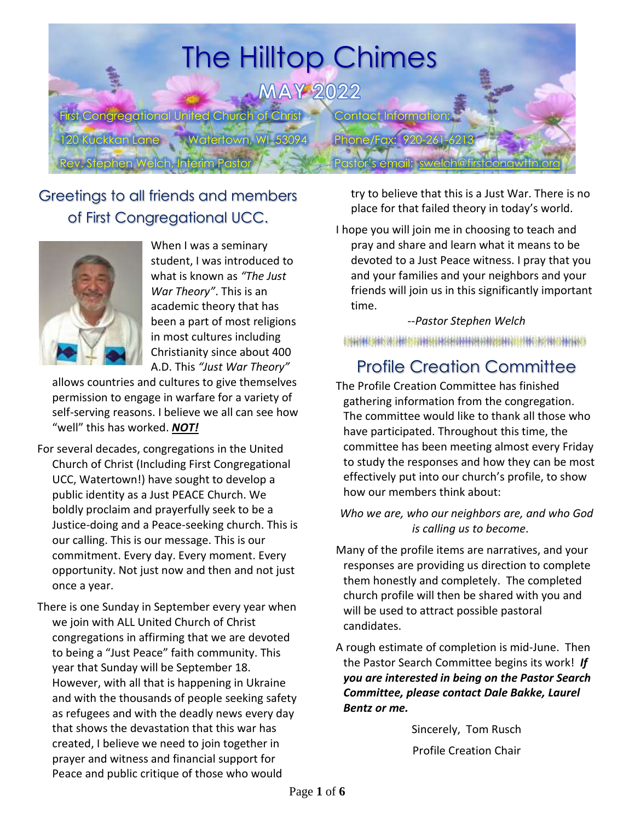

# Greetings to all friends and members of First Congregational UCC.



When I was a seminary student, I was introduced to what is known as *"The Just War Theory"*. This is an academic theory that has been a part of most religions in most cultures including Christianity since about 400 A.D. This *"Just War Theory"*

allows countries and cultures to give themselves permission to engage in warfare for a variety of self-serving reasons. I believe we all can see how "well" this has worked. *NOT!*

- For several decades, congregations in the United Church of Christ (Including First Congregational UCC, Watertown!) have sought to develop a public identity as a Just PEACE Church. We boldly proclaim and prayerfully seek to be a Justice-doing and a Peace-seeking church. This is our calling. This is our message. This is our commitment. Every day. Every moment. Every opportunity. Not just now and then and not just once a year.
- There is one Sunday in September every year when we join with ALL United Church of Christ congregations in affirming that we are devoted to being a "Just Peace" faith community. This year that Sunday will be September 18. However, with all that is happening in Ukraine and with the thousands of people seeking safety as refugees and with the deadly news every day that shows the devastation that this war has created, I believe we need to join together in prayer and witness and financial support for Peace and public critique of those who would

try to believe that this is a Just War. There is no place for that failed theory in today's world.

I hope you will join me in choosing to teach and pray and share and learn what it means to be devoted to a Just Peace witness. I pray that you and your families and your neighbors and your friends will join us in this significantly important time.

#### *--Pastor Stephen Welch*

# Profile Creation Committee

The Profile Creation Committee has finished gathering information from the congregation. The committee would like to thank all those who have participated. Throughout this time, the committee has been meeting almost every Friday to study the responses and how they can be most effectively put into our church's profile, to show how our members think about:

#### *Who we are, who our neighbors are, and who God is calling us to become*.

- Many of the profile items are narratives, and your responses are providing us direction to complete them honestly and completely. The completed church profile will then be shared with you and will be used to attract possible pastoral candidates.
- A rough estimate of completion is mid-June. Then the Pastor Search Committee begins its work! *If you are interested in being on the Pastor Search Committee, please contact Dale Bakke, Laurel Bentz or me.*

Sincerely, Tom Rusch Profile Creation Chair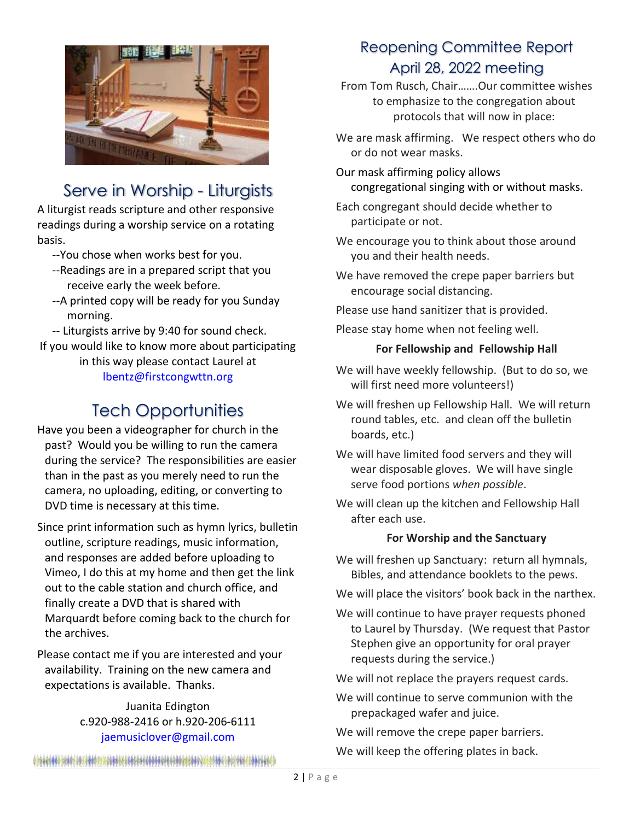

# Serve in Worship - Liturgists

A liturgist reads scripture and other responsive readings during a worship service on a rotating basis.

--You chose when works best for you.

- --Readings are in a prepared script that you receive early the week before.
- --A printed copy will be ready for you Sunday morning.

-- Liturgists arrive by 9:40 for sound check. If you would like to know more about participating in this way please contact Laurel at [lbentz@firstcongwttn.org](mailto:lbentz@firstcongwttn.org)

# Tech Opportunities

- Have you been a videographer for church in the past? Would you be willing to run the camera during the service? The responsibilities are easier than in the past as you merely need to run the camera, no uploading, editing, or converting to DVD time is necessary at this time.
- Since print information such as hymn lyrics, bulletin outline, scripture readings, music information, and responses are added before uploading to Vimeo, I do this at my home and then get the link out to the cable station and church office, and finally create a DVD that is shared with Marquardt before coming back to the church for the archives.

Please contact me if you are interested and your availability. Training on the new camera and expectations is available. Thanks.

> Juanita Edington c.920-988-2416 or h.920-206-6111 [jaemusiclover@gmail.com](mailto:jaemusiclover@gmail.com)

# Reopening Committee Report April 28, 2022 meeting

From Tom Rusch, Chair…….Our committee wishes to emphasize to the congregation about protocols that will now in place:

- We are mask affirming. We respect others who do or do not wear masks.
- Our mask affirming policy allows congregational singing with or without masks.
- Each congregant should decide whether to participate or not.
- We encourage you to think about those around you and their health needs.
- We have removed the crepe paper barriers but encourage social distancing.
- Please use hand sanitizer that is provided.

Please stay home when not feeling well.

#### **For Fellowship and Fellowship Hall**

- We will have weekly fellowship. (But to do so, we will first need more volunteers!)
- We will freshen up Fellowship Hall. We will return round tables, etc. and clean off the bulletin boards, etc.)
- We will have limited food servers and they will wear disposable gloves. We will have single serve food portions *when possible*.
- We will clean up the kitchen and Fellowship Hall after each use.

#### **For Worship and the Sanctuary**

- We will freshen up Sanctuary: return all hymnals, Bibles, and attendance booklets to the pews.
- We will place the visitors' book back in the narthex.
- We will continue to have prayer requests phoned to Laurel by Thursday. (We request that Pastor Stephen give an opportunity for oral prayer requests during the service.)

We will not replace the prayers request cards.

We will continue to serve communion with the prepackaged wafer and juice.

We will remove the crepe paper barriers.

We will keep the offering plates in back.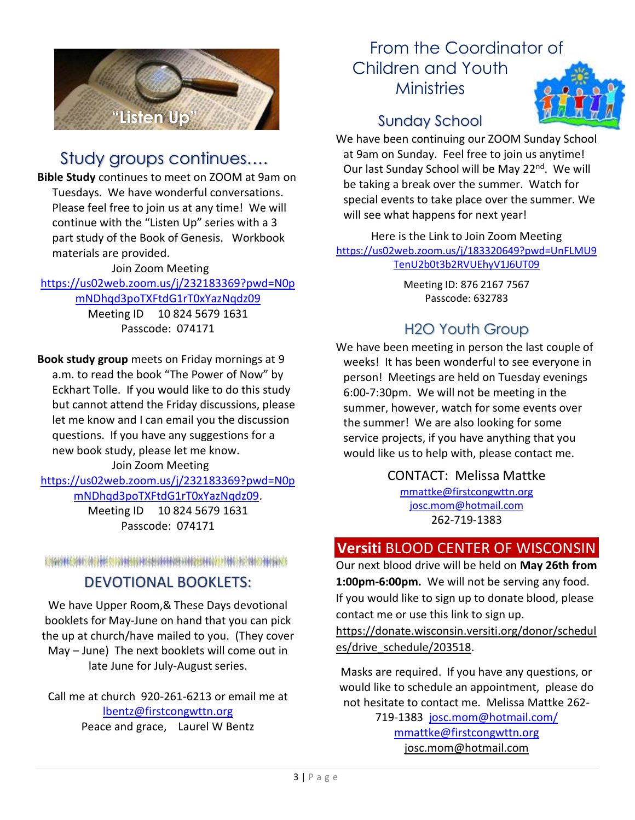

## Study groups continues….

**Bible Study** continues to meet on ZOOM at 9am on Tuesdays. We have wonderful conversations. Please feel free to join us at any time! We will continue with the "Listen Up" series with a 3 part study of the Book of Genesis. Workbook materials are provided.

Join Zoom Meeting [https://us02web.zoom.us/j/232183369?pwd=N0p](https://us02web.zoom.us/j/232183369?pwd=N0pmNDhqd3poTXFtdG1rT0xYazNqdz09) [mNDhqd3poTXFtdG1rT0xYazNqdz09](https://us02web.zoom.us/j/232183369?pwd=N0pmNDhqd3poTXFtdG1rT0xYazNqdz09) Meeting ID 10 824 5679 1631 Passcode: 074171

**Book study group** meets on Friday mornings at 9 a.m. to read the book "The Power of Now" by Eckhart Tolle. If you would like to do this study but cannot attend the Friday discussions, please let me know and I can email you the discussion questions. If you have any suggestions for a new book study, please let me know.

Join Zoom Meeting [https://us02web.zoom.us/j/232183369?pwd=N0p](https://us02web.zoom.us/j/232183369?pwd=N0pmNDhqd3poTXFtdG1rT0xYazNqdz09) [mNDhqd3poTXFtdG1rT0xYazNqdz09.](https://us02web.zoom.us/j/232183369?pwd=N0pmNDhqd3poTXFtdG1rT0xYazNqdz09) Meeting ID 10 824 5679 1631 Passcode: 074171

## DEVOTIONAL BOOKLETS:

We have Upper Room,& These Days devotional booklets for May-June on hand that you can pick the up at church/have mailed to you. (They cover May – June) The next booklets will come out in late June for July-August series.

Call me at church 920-261-6213 or email me at [lbentz@firstcongwttn.org](mailto:lbentz@firstcongwttn.org) Peace and grace, Laurel W Bentz

# From the Coordinator of Children and Youth **Ministries**



# Sunday School

We have been continuing our ZOOM Sunday School at 9am on Sunday. Feel free to join us anytime! Our last Sunday School will be May 22<sup>nd</sup>. We will be taking a break over the summer. Watch for special events to take place over the summer. We will see what happens for next year!

Here is the Link to Join Zoom Meeting [https://us02web.zoom.us/j/183320649?pwd=UnFLMU9](https://us02web.zoom.us/j/183320649?pwd=UnFLMU9TenU2b0t3b2RVUEhyV1J6UT09) [TenU2b0t3b2RVUEhyV1J6UT09](https://us02web.zoom.us/j/183320649?pwd=UnFLMU9TenU2b0t3b2RVUEhyV1J6UT09)

> Meeting ID: 876 2167 7567 Passcode: 632783

## H2O Youth Group

We have been meeting in person the last couple of weeks! It has been wonderful to see everyone in person! Meetings are held on Tuesday evenings 6:00-7:30pm. We will not be meeting in the summer, however, watch for some events over the summer! We are also looking for some service projects, if you have anything that you would like us to help with, please contact me.

> CONTACT: Melissa Mattke [mmattke@firstcongwttn.org](mailto:mmattke@firstcongwttn.org) [josc.mom@hotmail.com](mailto:josc.mom@hotmail.com) 262-719-1383

## **Versiti** BLOOD CENTER OF WISCONSIN

Our next blood drive will be held on **May 26th from 1:00pm-6:00pm.** We will not be serving any food. If you would like to sign up to donate blood, please contact me or use this link to sign up.

[https://donate.wisconsin.versiti.org/donor/schedul](https://donate.wisconsin.versiti.org/donor/schedules/drive_schedule/203518) [es/drive\\_schedule/203518.](https://donate.wisconsin.versiti.org/donor/schedules/drive_schedule/203518)

Masks are required. If you have any questions, or would like to schedule an appointment, please do not hesitate to contact me. Melissa Mattke 262-

719-1383 [josc.mom@hotmail.com/](mailto:josc.mom@hotmail.com/)  [mmattke@firstcongwttn.org](mailto:mmattke@firstcongwttn.org) [josc.mom@hotmail.com](mailto:josc.mom@hotmail.com)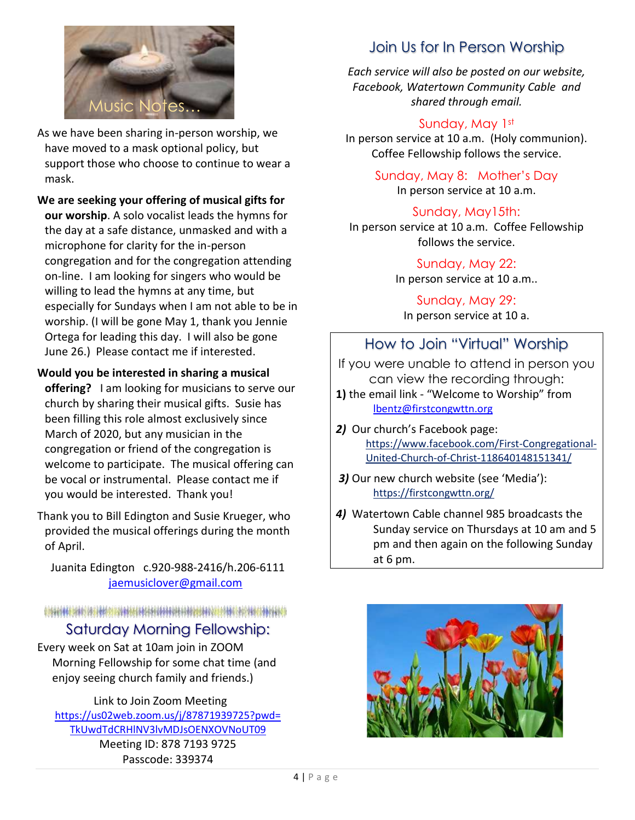

- As we have been sharing in-person worship, we have moved to a mask optional policy, but support those who choose to continue to wear a mask.
- **We are seeking your offering of musical gifts for our worship**. A solo vocalist leads the hymns for the day at a safe distance, unmasked and with a microphone for clarity for the in-person congregation and for the congregation attending on-line. I am looking for singers who would be willing to lead the hymns at any time, but especially for Sundays when I am not able to be in worship. (I will be gone May 1, thank you Jennie Ortega for leading this day. I will also be gone June 26.) Please contact me if interested.
- **Would you be interested in sharing a musical offering?** I am looking for musicians to serve our

church by sharing their musical gifts. Susie has been filling this role almost exclusively since March of 2020, but any musician in the congregation or friend of the congregation is welcome to participate. The musical offering can be vocal or instrumental. Please contact me if you would be interested. Thank you!

Thank you to Bill Edington and Susie Krueger, who provided the musical offerings during the month of April.

Juanita Edington c.920-988-2416/h.206-6111 [jaemusiclover@gmail.com](mailto:jaemusiclover@gmail.com)

### Saturday Morning Fellowship:

Every week on Sat at 10am join in ZOOM Morning Fellowship for some chat time (and enjoy seeing church family and friends.)

Link to Join Zoom Meeting [https://us02web.zoom.us/j/87871939725?pwd=](https://us02web.zoom.us/j/87871939725?pwd=TkUwdTdCRHlNV3lvMDJsOENXOVNoUT09) [TkUwdTdCRHlNV3lvMDJsOENXOVNoUT09](https://us02web.zoom.us/j/87871939725?pwd=TkUwdTdCRHlNV3lvMDJsOENXOVNoUT09) Meeting ID: 878 7193 9725 Passcode: 339374

# Join Us for In Person Worship

*Each service will also be posted on our website, Facebook, Watertown Community Cable and shared through email.* 

### Sunday, May 1st

In person service at 10 a.m. (Holy communion). Coffee Fellowship follows the service.

> Sunday, May 8: Mother's Day In person service at 10 a.m.

Sunday, May15th: In person service at 10 a.m. Coffee Fellowship follows the service.

> Sunday, May 22: In person service at 10 a.m..

Sunday, May 29: In person service at 10 a.

## How to Join "Virtual" Worship

If you were unable to attend in person you can view the recording through:

- **1)** the email link "Welcome to Worship" from [lbentz@firstcongwttn.org](mailto:lbentz@firstcongwttn.org)
- 2) Our church's Facebook page: [https://www.facebook.com/First-Congregational-](https://www.facebook.com/First-Congregational-United-Church-of-Christ-118640148151341/)[United-Church-of-Christ-118640148151341/](https://www.facebook.com/First-Congregational-United-Church-of-Christ-118640148151341/)
- *3)* Our new church website (see 'Media'): <https://firstcongwttn.org/>
- *4)* Watertown Cable channel 985 broadcasts the Sunday service on Thursdays at 10 am and 5 pm and then again on the following Sunday at 6 pm.

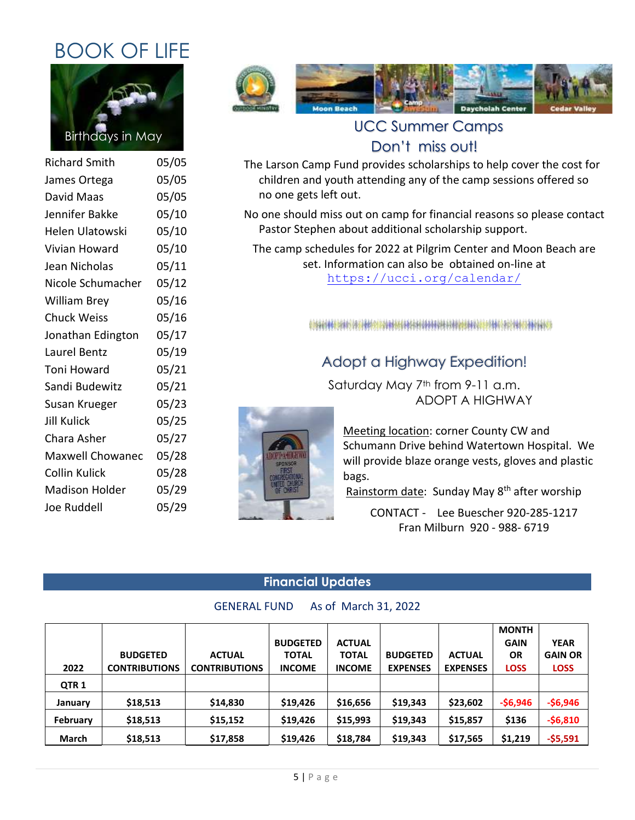# BOOK OF LIFE



| <b>Richard Smith</b>    | 05/05 |
|-------------------------|-------|
| James Ortega            | 05/05 |
| David Maas              | 05/05 |
| Jennifer Bakke          | 05/10 |
| Helen Ulatowski         | 05/10 |
| Vivian Howard           | 05/10 |
| Jean Nicholas           | 05/11 |
| Nicole Schumacher       | 05/12 |
| <b>William Brey</b>     | 05/16 |
| <b>Chuck Weiss</b>      | 05/16 |
| Jonathan Edington       | 05/17 |
| Laurel Bentz            | 05/19 |
| <b>Toni Howard</b>      | 05/21 |
| Sandi Budewitz          | 05/21 |
| Susan Krueger           | 05/23 |
| <b>Jill Kulick</b>      | 05/25 |
| Chara Asher             | 05/27 |
| <b>Maxwell Chowanec</b> | 05/28 |
| <b>Collin Kulick</b>    | 05/28 |
| <b>Madison Holder</b>   | 05/29 |
| Joe Ruddell             | 05/29 |



## UCC Summer Camps Don't miss out!

The Larson Camp Fund provides scholarships to help cover the cost for children and youth attending any of the camp sessions offered so no one gets left out.

No one should miss out on camp for financial reasons so please contact Pastor Stephen about additional scholarship support.

The camp schedules for 2022 at Pilgrim Center and Moon Beach are set. Information can also be obtained on-line at <https://ucci.org/calendar/>

## Adopt a Highway Expedition!

Saturday May 7<sup>th</sup> from 9-11 a.m. ADOPT A HIGHWAY



Meeting location: corner County CW and Schumann Drive behind Watertown Hospital. We will provide blaze orange vests, gloves and plastic bags.

Rainstorm date: Sunday May 8<sup>th</sup> after worship

CONTACT - Lee Buescher 920-285-1217 Fran Milburn 920 - 988- 6719

#### **Financial Updates**

## GENERAL FUND As of March 31, 2022

|                  |                      |                      |                 |               |                 |                 | <b>MONTH</b> |                |
|------------------|----------------------|----------------------|-----------------|---------------|-----------------|-----------------|--------------|----------------|
|                  |                      |                      | <b>BUDGETED</b> | <b>ACTUAL</b> |                 |                 | <b>GAIN</b>  | <b>YEAR</b>    |
|                  | <b>BUDGETED</b>      | <b>ACTUAL</b>        | <b>TOTAL</b>    | <b>TOTAL</b>  | <b>BUDGETED</b> | <b>ACTUAL</b>   | <b>OR</b>    | <b>GAIN OR</b> |
| 2022             | <b>CONTRIBUTIONS</b> | <b>CONTRIBUTIONS</b> | <b>INCOME</b>   | <b>INCOME</b> | <b>EXPENSES</b> | <b>EXPENSES</b> | <b>LOSS</b>  | <b>LOSS</b>    |
| QTR <sub>1</sub> |                      |                      |                 |               |                 |                 |              |                |
| January          | \$18,513             | \$14,830             | \$19,426        | \$16,656      | \$19,343        | \$23,602        | $-56,946$    | $-56,946$      |
| February         | \$18,513             | \$15,152             | \$19,426        | \$15,993      | \$19,343        | \$15,857        | \$136        | $-56,810$      |
| <b>March</b>     | \$18,513             | \$17,858             | \$19,426        | \$18,784      | \$19,343        | \$17,565        | \$1,219      | $-55,591$      |